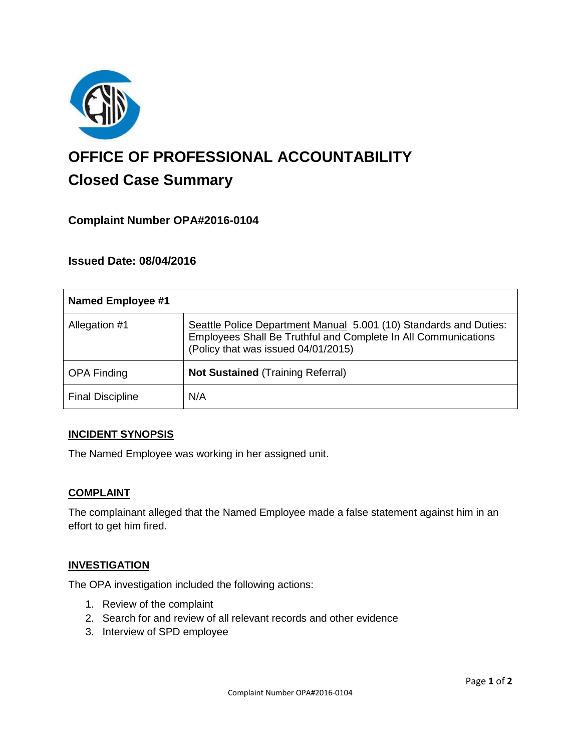

# **OFFICE OF PROFESSIONAL ACCOUNTABILITY Closed Case Summary**

# **Complaint Number OPA#2016-0104**

## **Issued Date: 08/04/2016**

| Named Employee #1       |                                                                                                                                                                            |
|-------------------------|----------------------------------------------------------------------------------------------------------------------------------------------------------------------------|
| Allegation #1           | Seattle Police Department Manual 5.001 (10) Standards and Duties:<br>Employees Shall Be Truthful and Complete In All Communications<br>(Policy that was issued 04/01/2015) |
| <b>OPA Finding</b>      | <b>Not Sustained (Training Referral)</b>                                                                                                                                   |
| <b>Final Discipline</b> | N/A                                                                                                                                                                        |

#### **INCIDENT SYNOPSIS**

The Named Employee was working in her assigned unit.

#### **COMPLAINT**

The complainant alleged that the Named Employee made a false statement against him in an effort to get him fired.

## **INVESTIGATION**

The OPA investigation included the following actions:

- 1. Review of the complaint
- 2. Search for and review of all relevant records and other evidence
- 3. Interview of SPD employee